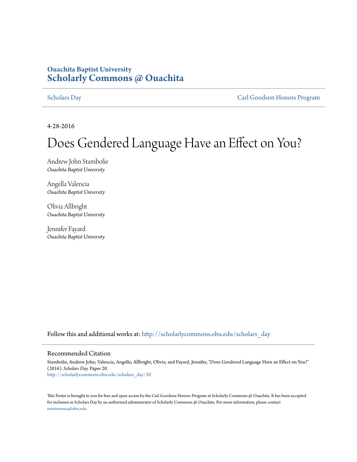### **Ouachita Baptist University [Scholarly Commons @ Ouachita](http://scholarlycommons.obu.edu?utm_source=scholarlycommons.obu.edu%2Fscholars_day%2F20&utm_medium=PDF&utm_campaign=PDFCoverPages)**

[Scholars Day](http://scholarlycommons.obu.edu/scholars_day?utm_source=scholarlycommons.obu.edu%2Fscholars_day%2F20&utm_medium=PDF&utm_campaign=PDFCoverPages) [Carl Goodson Honors Program](http://scholarlycommons.obu.edu/honors?utm_source=scholarlycommons.obu.edu%2Fscholars_day%2F20&utm_medium=PDF&utm_campaign=PDFCoverPages)

4-28-2016

### Does Gendered Language Have an Effect on You?

Andrew John Stambolie *Ouachita Baptist University*

Angella Valencia *Ouachita Baptist University*

Olivia Allbright *Ouachita Baptist University*

Jennifer Fayard *Ouachita Baptist University*

Follow this and additional works at: [http://scholarlycommons.obu.edu/scholars\\_day](http://scholarlycommons.obu.edu/scholars_day?utm_source=scholarlycommons.obu.edu%2Fscholars_day%2F20&utm_medium=PDF&utm_campaign=PDFCoverPages)

### Recommended Citation

Stambolie, Andrew John; Valencia, Angella; Allbright, Olivia; and Fayard, Jennifer, "Does Gendered Language Have an Effect on You?" (2016). *Scholars Day.* Paper 20. [http://scholarlycommons.obu.edu/scholars\\_day/20](http://scholarlycommons.obu.edu/scholars_day/20?utm_source=scholarlycommons.obu.edu%2Fscholars_day%2F20&utm_medium=PDF&utm_campaign=PDFCoverPages)

This Poster is brought to you for free and open access by the Carl Goodson Honors Program at Scholarly Commons @ Ouachita. It has been accepted for inclusion in Scholars Day by an authorized administrator of Scholarly Commons @ Ouachita. For more information, please contact [mortensona@obu.edu](mailto:mortensona@obu.edu).